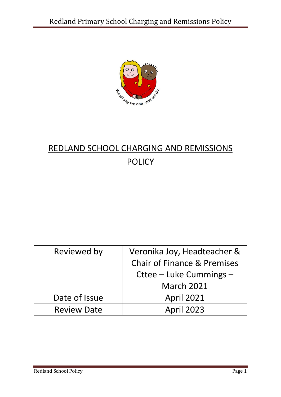

# REDLAND SCHOOL CHARGING AND REMISSIONS **POLICY**

| Reviewed by        | Veronika Joy, Headteacher &<br><b>Chair of Finance &amp; Premises</b><br>Cttee – Luke Cummings –<br><b>March 2021</b> |
|--------------------|-----------------------------------------------------------------------------------------------------------------------|
| Date of Issue      | <b>April 2021</b>                                                                                                     |
| <b>Review Date</b> | <b>April 2023</b>                                                                                                     |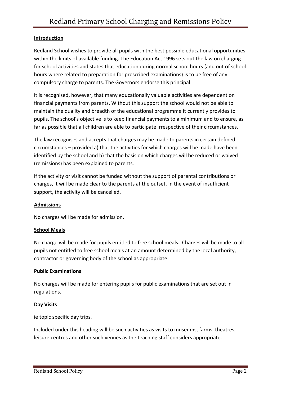## **Introduction**

Redland School wishes to provide all pupils with the best possible educational opportunities within the limits of available funding. The Education Act 1996 sets out the law on charging for school activities and states that education during normal school hours (and out of school hours where related to preparation for prescribed examinations) is to be free of any compulsory charge to parents. The Governors endorse this principal.

It is recognised, however, that many educationally valuable activities are dependent on financial payments from parents. Without this support the school would not be able to maintain the quality and breadth of the educational programme it currently provides to pupils. The school's objective is to keep financial payments to a minimum and to ensure, as far as possible that all children are able to participate irrespective of their circumstances.

The law recognises and accepts that charges may be made to parents in certain defined circumstances – provided a) that the activities for which charges will be made have been identified by the school and b) that the basis on which charges will be reduced or waived (remissions) has been explained to parents.

If the activity or visit cannot be funded without the support of parental contributions or charges, it will be made clear to the parents at the outset. In the event of insufficient support, the activity will be cancelled.

## **Admissions**

No charges will be made for admission.

## **School Meals**

No charge will be made for pupils entitled to free school meals. Charges will be made to all pupils not entitled to free school meals at an amount determined by the local authority, contractor or governing body of the school as appropriate.

## **Public Examinations**

No charges will be made for entering pupils for public examinations that are set out in regulations.

## **Day Visits**

ie topic specific day trips.

Included under this heading will be such activities as visits to museums, farms, theatres, leisure centres and other such venues as the teaching staff considers appropriate.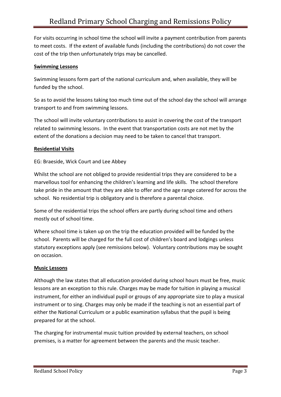For visits occurring in school time the school will invite a payment contribution from parents to meet costs. If the extent of available funds (including the contributions) do not cover the cost of the trip then unfortunately trips may be cancelled.

## **Swimming Lessons**

Swimming lessons form part of the national curriculum and, when available, they will be funded by the school.

So as to avoid the lessons taking too much time out of the school day the school will arrange transport to and from swimming lessons.

The school will invite voluntary contributions to assist in covering the cost of the transport related to swimming lessons. In the event that transportation costs are not met by the extent of the donations a decision may need to be taken to cancel that transport.

# **Residential Visits**

EG: Braeside, Wick Court and Lee Abbey

Whilst the school are not obliged to provide residential trips they are considered to be a marvellous tool for enhancing the children's learning and life skills. The school therefore take pride in the amount that they are able to offer and the age range catered for across the school. No residential trip is obligatory and is therefore a parental choice.

Some of the residential trips the school offers are partly during school time and others mostly out of school time.

Where school time is taken up on the trip the education provided will be funded by the school. Parents will be charged for the full cost of children's board and lodgings unless statutory exceptions apply (see remissions below). Voluntary contributions may be sought on occasion.

## **Music Lessons**

Although the law states that all education provided during school hours must be free, music lessons are an exception to this rule. Charges may be made for tuition in playing a musical instrument, for either an individual pupil or groups of any appropriate size to play a musical instrument or to sing. Charges may only be made if the teaching is not an essential part of either the National Curriculum or a public examination syllabus that the pupil is being prepared for at the school.

The charging for instrumental music tuition provided by external teachers, on school premises, is a matter for agreement between the parents and the music teacher.